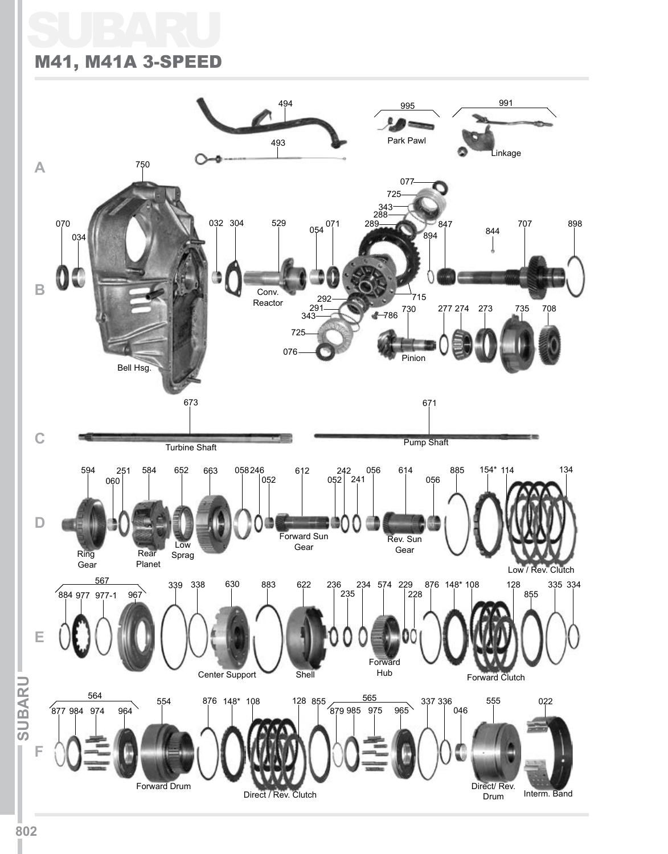# SUBARU M41, M41A 3-SPEED

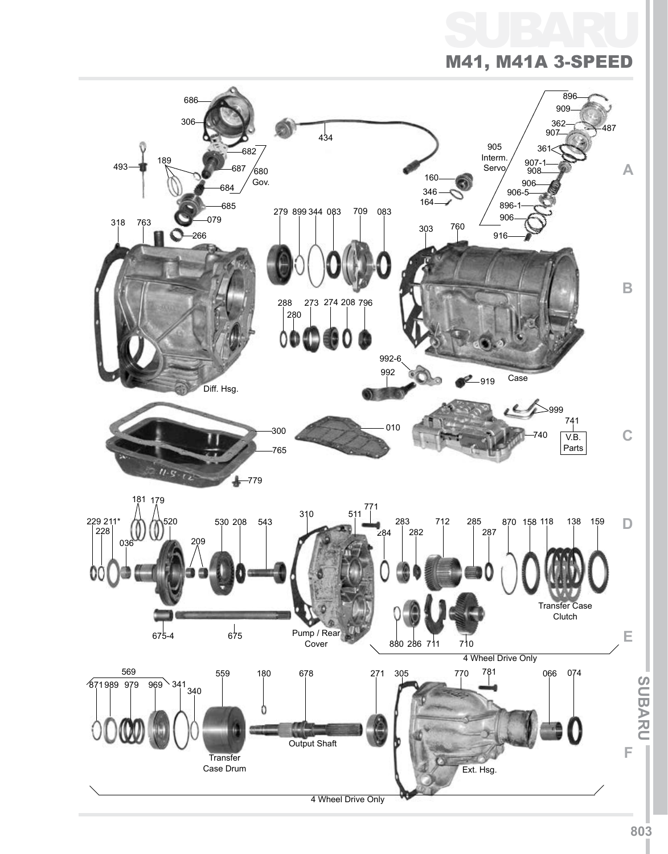# SUBARU M41, M41A 3-S

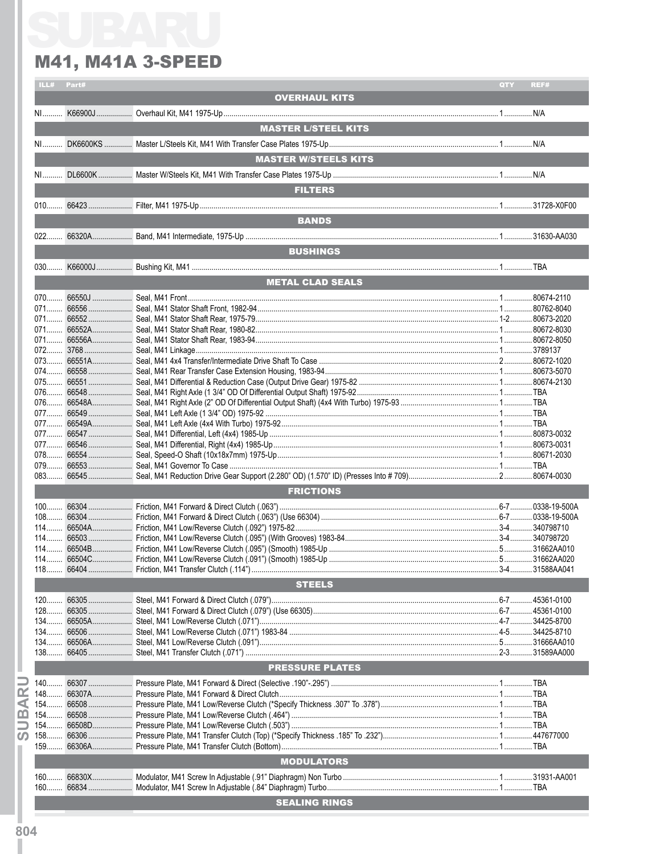| ILL#  | Part# |                              | QTY | REF# |
|-------|-------|------------------------------|-----|------|
|       |       | <b>OVERHAUL KITS</b>         |     |      |
|       |       |                              |     |      |
|       |       |                              |     |      |
|       |       | <b>MASTER L/STEEL KITS</b>   |     |      |
|       |       |                              |     |      |
|       |       |                              |     |      |
|       |       |                              |     |      |
|       |       | <b>MASTER W/STEELS KITS</b>  |     |      |
| $N1$  |       |                              |     |      |
|       |       |                              |     |      |
|       |       | <b>FILTERS</b>               |     |      |
|       |       |                              |     |      |
|       |       |                              |     |      |
|       |       | <b>BANDS</b>                 |     |      |
|       |       |                              |     |      |
|       |       |                              |     |      |
|       |       | <b>BUSHINGS Example 2014</b> |     |      |
|       |       |                              |     |      |
|       |       |                              |     |      |
|       |       | <b>METAL CLAD SEALS</b>      |     |      |
|       |       |                              |     |      |
|       |       |                              |     |      |
|       |       |                              |     |      |
|       |       |                              |     |      |
|       |       |                              |     |      |
|       |       |                              |     |      |
|       |       |                              |     |      |
|       |       |                              |     |      |
|       |       |                              |     |      |
|       |       |                              |     |      |
|       |       |                              |     |      |
|       |       |                              |     |      |
|       |       |                              |     |      |
|       |       |                              |     |      |
|       |       |                              |     |      |
|       |       |                              |     |      |
|       |       |                              |     |      |
|       |       |                              |     |      |
|       |       |                              |     |      |
|       |       |                              |     |      |
|       |       |                              |     |      |
|       |       | <b>FRICTIONS</b>             |     |      |
|       |       |                              |     |      |
|       |       |                              |     |      |
|       |       |                              |     |      |
|       |       |                              |     |      |
|       |       |                              |     |      |
|       |       |                              |     |      |
|       |       |                              |     |      |
| $118$ |       |                              |     |      |
|       |       |                              |     |      |
|       |       | <b>STEELS</b>                |     |      |
| $120$ |       |                              |     |      |
|       |       |                              |     |      |
| $128$ |       |                              |     |      |
| $134$ |       |                              |     |      |
| $134$ |       |                              |     |      |
| $134$ |       |                              |     |      |
| $138$ |       |                              |     |      |
|       |       |                              |     |      |
|       |       | <b>PRESSURE PLATES</b>       |     |      |
| $140$ |       |                              |     |      |
| $148$ |       |                              |     |      |
| $154$ |       |                              |     |      |
| $154$ |       |                              |     |      |
| $154$ |       |                              |     |      |
|       |       |                              |     |      |
| $158$ |       |                              |     |      |
| $159$ |       |                              |     |      |
|       |       | <b>MODULATORS</b>            |     |      |
|       |       |                              |     |      |
|       |       |                              |     |      |
| $160$ |       |                              |     |      |
|       |       |                              |     |      |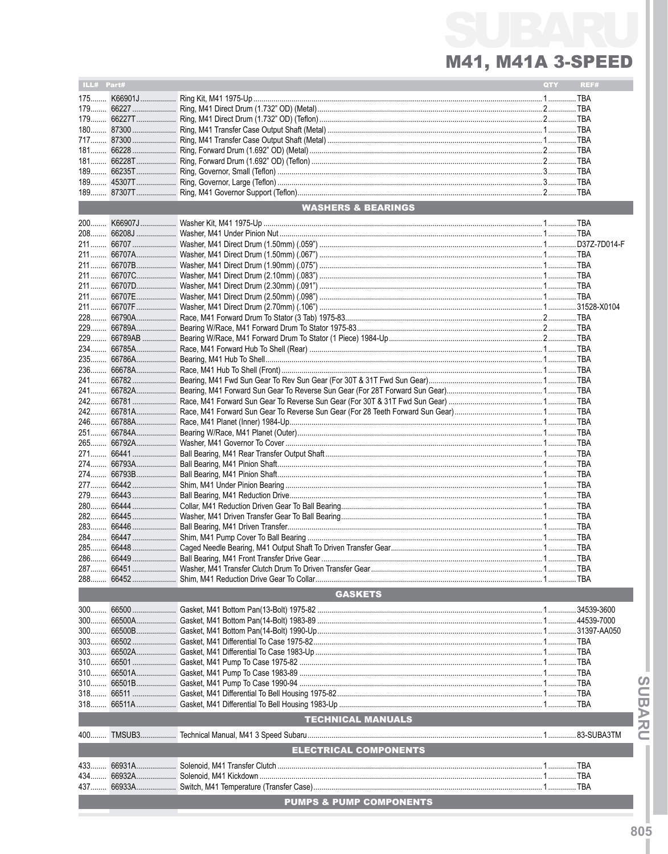| <b>WASHERS &amp; BEARINGS</b>      |  |
|------------------------------------|--|
|                                    |  |
|                                    |  |
|                                    |  |
|                                    |  |
|                                    |  |
|                                    |  |
|                                    |  |
|                                    |  |
|                                    |  |
|                                    |  |
|                                    |  |
|                                    |  |
|                                    |  |
|                                    |  |
|                                    |  |
|                                    |  |
|                                    |  |
|                                    |  |
|                                    |  |
|                                    |  |
|                                    |  |
|                                    |  |
|                                    |  |
|                                    |  |
|                                    |  |
|                                    |  |
|                                    |  |
|                                    |  |
|                                    |  |
|                                    |  |
|                                    |  |
|                                    |  |
|                                    |  |
|                                    |  |
|                                    |  |
|                                    |  |
|                                    |  |
|                                    |  |
|                                    |  |
|                                    |  |
|                                    |  |
|                                    |  |
|                                    |  |
|                                    |  |
|                                    |  |
|                                    |  |
|                                    |  |
|                                    |  |
|                                    |  |
|                                    |  |
| <b>GASKETS</b>                     |  |
| $300$                              |  |
|                                    |  |
|                                    |  |
|                                    |  |
|                                    |  |
|                                    |  |
| $310$                              |  |
| $310$                              |  |
|                                    |  |
|                                    |  |
|                                    |  |
| <b>TECHNICAL MANUALS</b>           |  |
|                                    |  |
| <b>ELECTRICAL COMPONENTS</b>       |  |
|                                    |  |
|                                    |  |
|                                    |  |
| <b>PUMPS &amp; PUMP COMPONENTS</b> |  |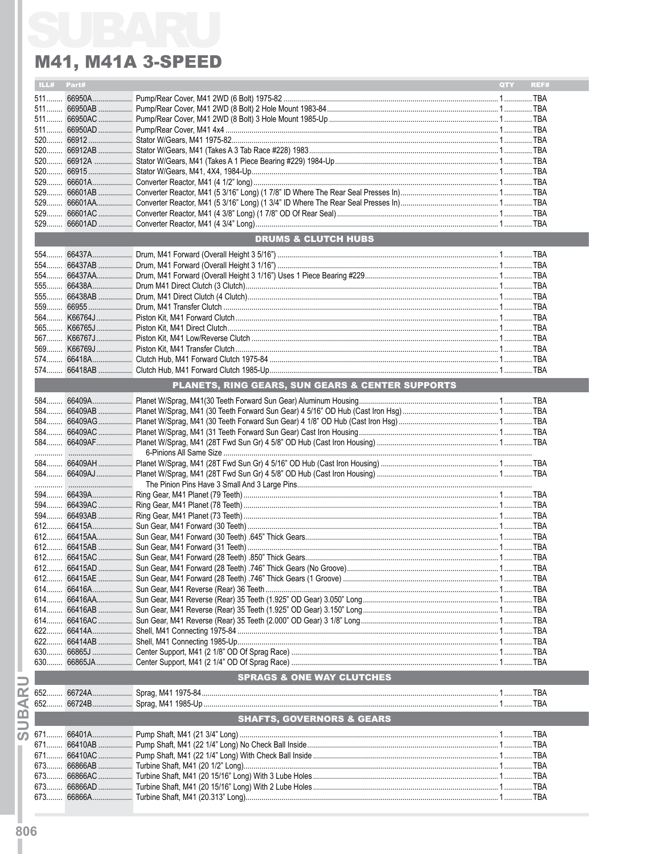| ILL#         | Part# |                                                  | QTY | REF# |
|--------------|-------|--------------------------------------------------|-----|------|
|              |       |                                                  |     |      |
|              |       |                                                  |     |      |
|              |       |                                                  |     |      |
|              |       |                                                  |     |      |
|              |       |                                                  |     |      |
|              |       |                                                  |     |      |
|              |       |                                                  |     |      |
|              |       |                                                  |     |      |
|              |       |                                                  |     |      |
|              |       |                                                  |     |      |
|              |       |                                                  |     |      |
| $529$        |       |                                                  |     |      |
|              |       |                                                  |     |      |
|              |       |                                                  |     |      |
|              |       |                                                  |     |      |
|              |       | <b>DRUMS &amp; CLUTCH HUBS</b>                   |     |      |
|              |       |                                                  |     |      |
|              |       |                                                  |     |      |
|              |       |                                                  |     |      |
|              |       |                                                  |     |      |
|              |       |                                                  |     |      |
|              |       |                                                  |     |      |
|              |       |                                                  |     |      |
|              |       |                                                  |     |      |
|              |       |                                                  |     |      |
|              |       |                                                  |     |      |
|              |       |                                                  |     |      |
|              |       |                                                  |     |      |
|              |       |                                                  |     |      |
|              |       | PLANETS, RING GEARS, SUN GEARS & CENTER SUPPORTS |     |      |
|              |       |                                                  |     |      |
|              |       |                                                  |     |      |
|              |       |                                                  |     |      |
|              |       |                                                  |     |      |
|              |       |                                                  |     |      |
|              |       |                                                  |     |      |
|              |       |                                                  |     |      |
|              |       |                                                  |     |      |
|              |       |                                                  |     |      |
|              |       |                                                  |     |      |
|              |       |                                                  |     |      |
|              |       |                                                  |     |      |
|              |       |                                                  |     |      |
|              |       |                                                  |     |      |
|              |       |                                                  |     |      |
|              |       |                                                  |     |      |
|              |       |                                                  |     |      |
|              |       |                                                  |     |      |
|              |       |                                                  |     |      |
|              |       |                                                  |     |      |
| 614          |       |                                                  |     |      |
| $614$        |       |                                                  |     |      |
| 614          |       |                                                  |     |      |
| $614$        |       |                                                  |     |      |
| 622          |       |                                                  |     |      |
|              |       |                                                  |     |      |
| 622          |       |                                                  |     |      |
| 630          |       |                                                  |     |      |
| 630          |       |                                                  |     |      |
|              |       | <b>SPRAGS &amp; ONE WAY CLUTCHES</b>             |     |      |
| ≃<br>652     |       |                                                  |     |      |
| ⋖            |       |                                                  |     |      |
| $\mathbf{m}$ |       |                                                  |     |      |
|              |       | <b>SHAFTS, GOVERNORS &amp; GEARS</b>             |     |      |
| ഗ            |       |                                                  |     |      |
|              |       |                                                  |     |      |
|              |       |                                                  |     |      |
| 673          |       |                                                  |     |      |
| 673          |       |                                                  |     |      |
| 673          |       |                                                  |     |      |
|              |       |                                                  |     |      |
|              |       |                                                  |     |      |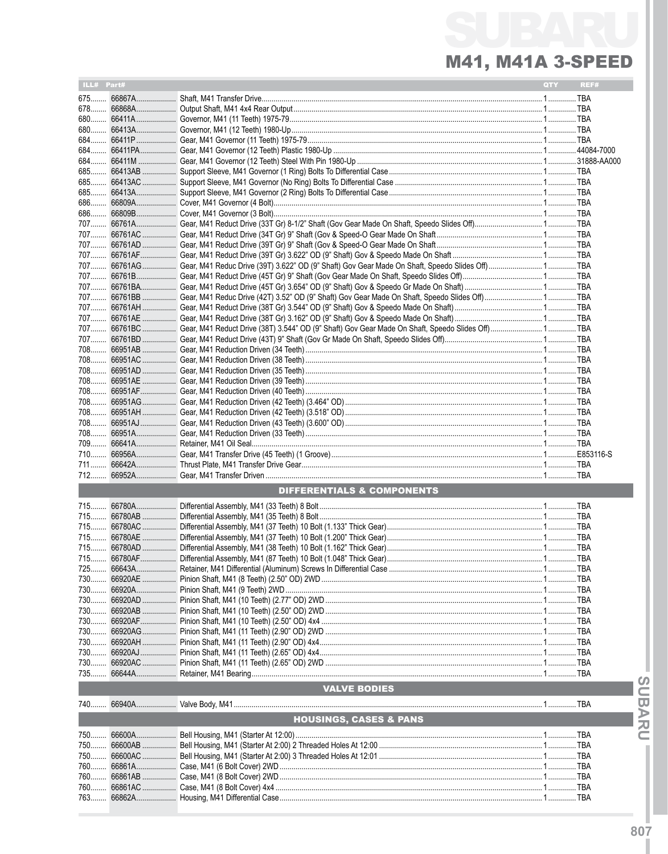| ILL# Part# |             |                                                                                                               | QTY | REF# |
|------------|-------------|---------------------------------------------------------------------------------------------------------------|-----|------|
|            |             |                                                                                                               |     |      |
|            |             |                                                                                                               |     |      |
|            |             |                                                                                                               |     |      |
|            |             |                                                                                                               |     |      |
|            |             |                                                                                                               |     |      |
|            |             |                                                                                                               |     |      |
|            |             |                                                                                                               |     |      |
|            |             |                                                                                                               |     |      |
|            |             |                                                                                                               |     |      |
|            |             |                                                                                                               |     |      |
|            |             |                                                                                                               |     |      |
|            |             |                                                                                                               |     |      |
|            |             |                                                                                                               |     |      |
|            |             |                                                                                                               |     |      |
|            |             |                                                                                                               |     |      |
|            |             |                                                                                                               |     |      |
|            |             | 707 66761AG  Gear, M41 Reduc Drive (39T) 3.622" OD (9" Shaft) Gov Gear Made On Shaft, Speedo Slides Off)  TBA |     |      |
|            |             |                                                                                                               |     |      |
|            |             |                                                                                                               |     |      |
|            |             |                                                                                                               |     |      |
|            |             |                                                                                                               |     |      |
|            |             |                                                                                                               |     |      |
|            |             |                                                                                                               |     |      |
|            |             |                                                                                                               |     |      |
|            |             |                                                                                                               |     |      |
|            |             |                                                                                                               |     |      |
|            |             |                                                                                                               |     |      |
|            |             |                                                                                                               |     |      |
|            |             |                                                                                                               |     |      |
|            |             |                                                                                                               |     |      |
|            |             |                                                                                                               |     |      |
|            |             |                                                                                                               |     |      |
|            |             |                                                                                                               |     |      |
|            |             |                                                                                                               |     |      |
|            |             |                                                                                                               |     |      |
|            |             |                                                                                                               |     |      |
|            |             | DIFFERENTIALS & COMPONENTS                                                                                    |     |      |
|            |             |                                                                                                               |     |      |
|            |             |                                                                                                               |     |      |
|            |             |                                                                                                               |     |      |
|            |             |                                                                                                               |     |      |
|            |             |                                                                                                               |     |      |
|            |             |                                                                                                               |     |      |
|            |             |                                                                                                               |     |      |
|            | 730 66920AE |                                                                                                               |     |      |
|            |             |                                                                                                               |     |      |
|            |             |                                                                                                               |     |      |
|            |             |                                                                                                               |     |      |
|            |             |                                                                                                               |     |      |
|            |             |                                                                                                               |     |      |
|            |             |                                                                                                               |     |      |
|            |             |                                                                                                               |     |      |
|            |             |                                                                                                               |     |      |
|            |             |                                                                                                               |     |      |
|            |             | <b>VALVE BODIES</b>                                                                                           |     |      |
|            |             |                                                                                                               |     |      |
|            |             | <b>HOUSINGS, CASES &amp; PANS</b>                                                                             |     |      |
|            |             |                                                                                                               |     |      |
| 750        |             |                                                                                                               |     |      |
| 750        | 66600AC     |                                                                                                               |     |      |
|            |             |                                                                                                               |     |      |
|            |             |                                                                                                               |     |      |
| 760        |             |                                                                                                               |     |      |
|            |             |                                                                                                               |     |      |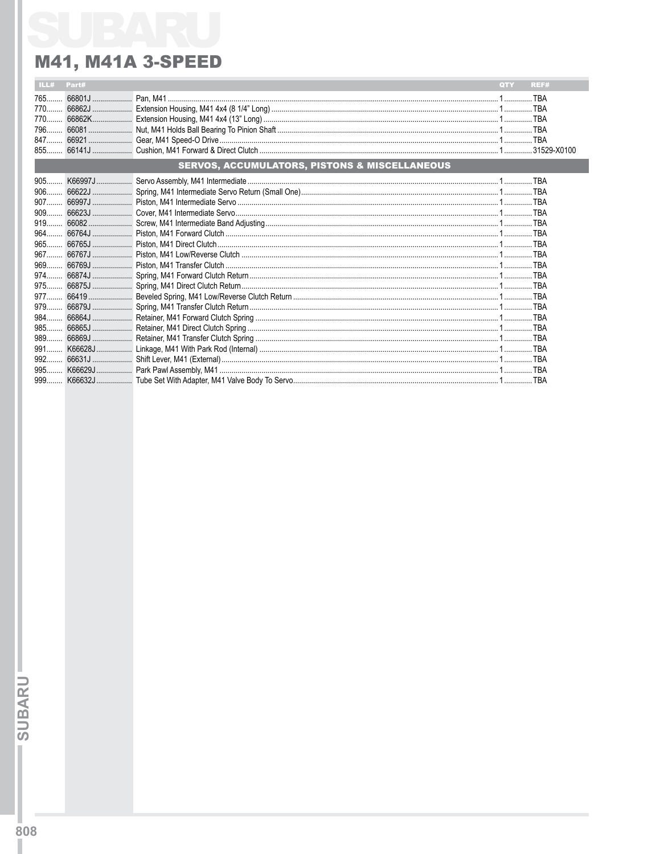| ILL#  | Part# |                                                          | <b>QTY</b> | <b>REF#</b> |
|-------|-------|----------------------------------------------------------|------------|-------------|
| $765$ |       |                                                          |            |             |
|       |       |                                                          |            |             |
|       |       |                                                          |            |             |
|       |       |                                                          |            |             |
|       |       |                                                          |            |             |
|       |       |                                                          |            |             |
|       |       | <b>SERVOS, ACCUMULATORS, PISTONS &amp; MISCELLANEOUS</b> |            |             |
| $905$ |       |                                                          |            |             |
|       |       |                                                          |            |             |
|       |       |                                                          |            |             |
|       |       |                                                          |            |             |
|       |       |                                                          |            |             |
|       |       |                                                          |            |             |
|       |       |                                                          |            |             |
|       |       |                                                          |            |             |
|       |       |                                                          |            |             |
|       |       |                                                          |            |             |
|       |       |                                                          |            |             |
|       |       |                                                          |            |             |
|       |       |                                                          |            |             |
|       |       |                                                          |            |             |
| 985   |       |                                                          |            |             |
|       |       |                                                          |            |             |
| 991   |       |                                                          |            |             |
| 992   |       |                                                          |            |             |
| 995   |       |                                                          |            |             |
| $999$ |       |                                                          |            |             |